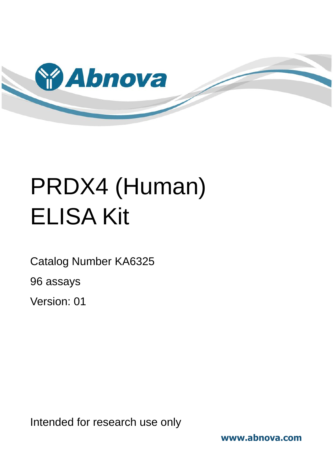

# PRDX4 (Human) ELISA Kit

Catalog Number KA6325

96 assays

Version: 01

Intended for research use only

**www.abnova.com**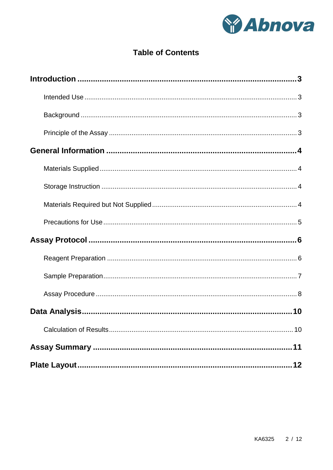

# **Table of Contents**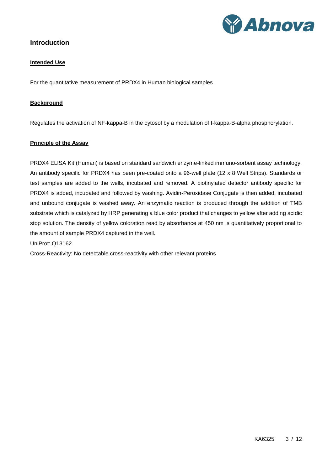

## <span id="page-2-1"></span><span id="page-2-0"></span>**Introduction**

#### **Intended Use**

<span id="page-2-2"></span>For the quantitative measurement of PRDX4 in Human biological samples.

#### **Background**

<span id="page-2-3"></span>Regulates the activation of NF-kappa-B in the cytosol by a modulation of I-kappa-B-alpha phosphorylation.

#### **Principle of the Assay**

PRDX4 ELISA Kit (Human) is based on standard sandwich enzyme-linked immuno-sorbent assay technology. An antibody specific for PRDX4 has been pre-coated onto a 96-well plate (12 x 8 Well Strips). Standards or test samples are added to the wells, incubated and removed. A biotinylated detector antibody specific for PRDX4 is added, incubated and followed by washing. Avidin-Peroxidase Conjugate is then added, incubated and unbound conjugate is washed away. An enzymatic reaction is produced through the addition of TMB substrate which is catalyzed by HRP generating a blue color product that changes to yellow after adding acidic stop solution. The density of yellow coloration read by absorbance at 450 nm is quantitatively proportional to the amount of sample PRDX4 captured in the well.

#### UniProt: Q13162

Cross-Reactivity: No detectable cross-reactivity with other relevant proteins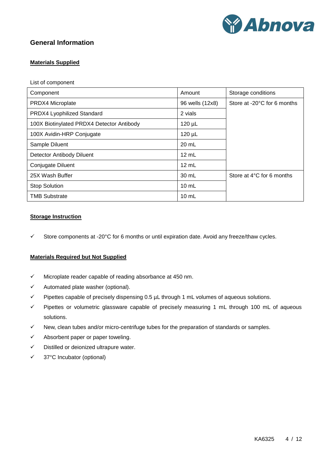

## <span id="page-3-1"></span><span id="page-3-0"></span>**General Information**

#### **Materials Supplied**

List of component

| Component                                 | Amount          | Storage conditions          |
|-------------------------------------------|-----------------|-----------------------------|
| PRDX4 Microplate                          | 96 wells (12x8) | Store at -20°C for 6 months |
| PRDX4 Lyophilized Standard                | 2 vials         |                             |
| 100X Biotinylated PRDX4 Detector Antibody | $120 \mu L$     |                             |
| 100X Avidin-HRP Conjugate                 | $120 \mu L$     |                             |
| Sample Diluent                            | 20 mL           |                             |
| Detector Antibody Diluent                 | $12 \text{ mL}$ |                             |
| Conjugate Diluent                         | $12 \text{ mL}$ |                             |
| 25X Wash Buffer                           | 30 mL           | Store at 4°C for 6 months   |
| <b>Stop Solution</b>                      | $10 \text{ mL}$ |                             |
| <b>TMB Substrate</b>                      | $10 \text{ mL}$ |                             |

#### <span id="page-3-2"></span>**Storage Instruction**

<span id="page-3-3"></span> $\checkmark$  Store components at -20°C for 6 months or until expiration date. Avoid any freeze/thaw cycles.

#### **Materials Required but Not Supplied**

- $\checkmark$  Microplate reader capable of reading absorbance at 450 nm.
- $\checkmark$  Automated plate washer (optional).
- $\checkmark$  Pipettes capable of precisely dispensing 0.5  $\mu$ L through 1 mL volumes of aqueous solutions.
- $\checkmark$  Pipettes or volumetric glassware capable of precisely measuring 1 mL through 100 mL of aqueous solutions.
- $\checkmark$  New, clean tubes and/or micro-centrifuge tubes for the preparation of standards or samples.
- $\checkmark$  Absorbent paper or paper toweling.
- $\checkmark$  Distilled or deionized ultrapure water.
- $\checkmark$  37°C Incubator (optional)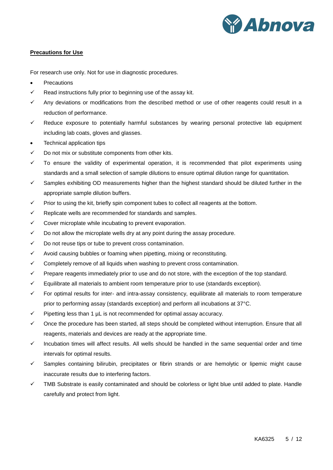

#### <span id="page-4-0"></span>**Precautions for Use**

For research use only. Not for use in diagnostic procedures.

- **Precautions**
- $\checkmark$  Read instructions fully prior to beginning use of the assay kit.
- $\checkmark$  Any deviations or modifications from the described method or use of other reagents could result in a reduction of performance.
- $\checkmark$  Reduce exposure to potentially harmful substances by wearing personal protective lab equipment including lab coats, gloves and glasses.
- Technical application tips
- $\checkmark$  Do not mix or substitute components from other kits.
- $\checkmark$  To ensure the validity of experimental operation, it is recommended that pilot experiments using standards and a small selection of sample dilutions to ensure optimal dilution range for quantitation.
- $\checkmark$  Samples exhibiting OD measurements higher than the highest standard should be diluted further in the appropriate sample dilution buffers.
- $\checkmark$  Prior to using the kit, briefly spin component tubes to collect all reagents at the bottom.
- $\checkmark$  Replicate wells are recommended for standards and samples.
- $\checkmark$  Cover microplate while incubating to prevent evaporation.
- $\checkmark$  Do not allow the microplate wells dry at any point during the assay procedure.
- $\checkmark$  Do not reuse tips or tube to prevent cross contamination.
- $\checkmark$  Avoid causing bubbles or foaming when pipetting, mixing or reconstituting.
- $\checkmark$  Completely remove of all liquids when washing to prevent cross contamination.
- $\checkmark$  Prepare reagents immediately prior to use and do not store, with the exception of the top standard.
- $\checkmark$  Equilibrate all materials to ambient room temperature prior to use (standards exception).
- $\checkmark$  For optimal results for inter- and intra-assay consistency, equilibrate all materials to room temperature prior to performing assay (standards exception) and perform all incubations at 37°C.
- $\checkmark$  Pipetting less than 1  $\mu$ L is not recommended for optimal assay accuracy.
- $\checkmark$  Once the procedure has been started, all steps should be completed without interruption. Ensure that all reagents, materials and devices are ready at the appropriate time.
- $\checkmark$  Incubation times will affect results. All wells should be handled in the same sequential order and time intervals for optimal results.
- $\checkmark$  Samples containing bilirubin, precipitates or fibrin strands or are hemolytic or lipemic might cause inaccurate results due to interfering factors.
- $\checkmark$  TMB Substrate is easily contaminated and should be colorless or light blue until added to plate. Handle carefully and protect from light.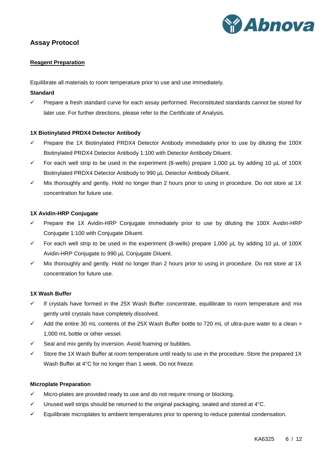

## <span id="page-5-1"></span><span id="page-5-0"></span>**Assay Protocol**

#### **Reagent Preparation**

Equilibrate all materials to room temperature prior to use and use immediately.

#### **Standard**

 $\checkmark$  Prepare a fresh standard curve for each assay performed. Reconstituted standards cannot be stored for later use. For further directions, please refer to the Certificate of Analysis.

#### **1X Biotinylated PRDX4 Detector Antibody**

- $\checkmark$  Prepare the 1X Biotinylated PRDX4 Detector Antibody immediately prior to use by diluting the 100X Biotinylated PRDX4 Detector Antibody 1:100 with Detector Antibody Diluent.
- For each well strip to be used in the experiment (8-wells) prepare 1,000  $\mu$ L by adding 10  $\mu$ L of 100X Biotinylated PRDX4 Detector Antibody to 990 µL Detector Antibody Diluent.
- $\checkmark$  Mix thoroughly and gently. Hold no longer than 2 hours prior to using in procedure. Do not store at 1X concentration for future use.

#### **1X Avidin-HRP Conjugate**

- $\checkmark$  Prepare the 1X Avidin-HRP Conjugate immediately prior to use by diluting the 100X Avidin-HRP Conjugate 1:100 with Conjugate Diluent.
- For each well strip to be used in the experiment (8-wells) prepare 1,000  $\mu$ L by adding 10  $\mu$ L of 100X Avidin-HRP Conjugate to 990 µL Conjugate Diluent.
- $\checkmark$  Mix thoroughly and gently. Hold no longer than 2 hours prior to using in procedure. Do not store at 1X concentration for future use.

#### **1X Wash Buffer**

- $\checkmark$  If crystals have formed in the 25X Wash Buffer concentrate, equilibrate to room temperature and mix gently until crystals have completely dissolved.
- $\checkmark$  Add the entire 30 mL contents of the 25X Wash Buffer bottle to 720 mL of ultra-pure water to a clean > 1,000 mL bottle or other vessel.
- $\checkmark$  Seal and mix gently by inversion. Avoid foaming or bubbles.
- $\checkmark$  Store the 1X Wash Buffer at room temperature until ready to use in the procedure. Store the prepared 1X Wash Buffer at 4°C for no longer than 1 week. Do not freeze.

#### **Microplate Preparation**

- $\checkmark$  Micro-plates are provided ready to use and do not require rinsing or blocking.
- $\checkmark$  Unused well strips should be returned to the original packaging, sealed and stored at 4 °C.
- Equilibrate microplates to ambient temperatures prior to opening to reduce potential condensation.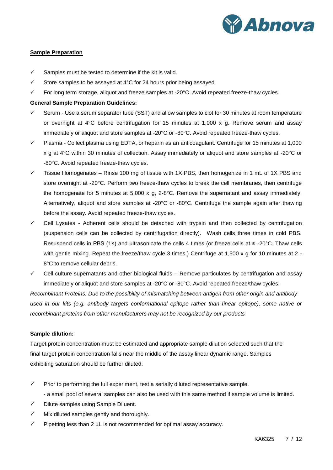

#### <span id="page-6-0"></span>**Sample Preparation**

- $\checkmark$  Samples must be tested to determine if the kit is valid.
- $\checkmark$  Store samples to be assayed at 4°C for 24 hours prior being assayed.
- $\checkmark$  For long term storage, aliquot and freeze samples at -20 $\degree$ C. Avoid repeated freeze-thaw cycles.

#### **General Sample Preparation Guidelines:**

- $\checkmark$  Serum Use a serum separator tube (SST) and allow samples to clot for 30 minutes at room temperature or overnight at 4°C before centrifugation for 15 minutes at 1,000 x g. Remove serum and assay immediately or aliquot and store samples at -20°C or -80°C. Avoid repeated freeze-thaw cycles.
- $\checkmark$  Plasma Collect plasma using EDTA, or heparin as an anticoagulant. Centrifuge for 15 minutes at 1,000 x g at 4°C within 30 minutes of collection. Assay immediately or aliquot and store samples at -20°C or -80°C. Avoid repeated freeze-thaw cycles.
- $\checkmark$  Tissue Homogenates Rinse 100 mg of tissue with 1X PBS, then homogenize in 1 mL of 1X PBS and store overnight at -20°C. Perform two freeze-thaw cycles to break the cell membranes, then centrifuge the homogenate for 5 minutes at 5,000 x g, 2-8°C. Remove the supernatant and assay immediately. Alternatively, aliquot and store samples at -20°C or -80°C. Centrifuge the sample again after thawing before the assay. Avoid repeated freeze-thaw cycles.
- $\checkmark$  Cell Lysates Adherent cells should be detached with trypsin and then collected by centrifugation (suspension cells can be collected by centrifugation directly). Wash cells three times in cold PBS. Resuspend cells in PBS (1×) and ultrasonicate the cells 4 times (or freeze cells at ≤ -20°C. Thaw cells with gentle mixing. Repeat the freeze/thaw cycle 3 times.) Centrifuge at 1,500 x g for 10 minutes at 2 -8°C to remove cellular debris.
- $\checkmark$  Cell culture supernatants and other biological fluids Remove particulates by centrifugation and assay immediately or aliquot and store samples at -20°C or -80°C. Avoid repeated freeze/thaw cycles.

*Recombinant Proteins: Due to the possibility of mismatching between antigen from other origin and antibody used in our kits (e.g. antibody targets conformational epitope rather than linear epitope), some native or recombinant proteins from other manufacturers may not be recognized by our products*

#### **Sample dilution:**

Target protein concentration must be estimated and appropriate sample dilution selected such that the final target protein concentration falls near the middle of the assay linear dynamic range. Samples exhibiting saturation should be further diluted.

- $\checkmark$  Prior to performing the full experiment, test a serially diluted representative sample.
	- a small pool of several samples can also be used with this same method if sample volume is limited.
- $\checkmark$  Dilute samples using Sample Diluent.
- $\checkmark$  Mix diluted samples gently and thoroughly.
- $\checkmark$  Pipetting less than 2 µL is not recommended for optimal assay accuracy.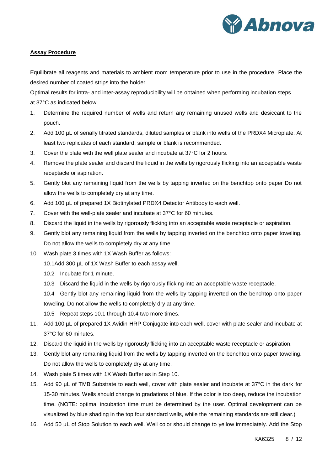

#### <span id="page-7-0"></span>**Assay Procedure**

Equilibrate all reagents and materials to ambient room temperature prior to use in the procedure. Place the desired number of coated strips into the holder.

Optimal results for intra- and inter-assay reproducibility will be obtained when performing incubation steps at 37°C as indicated below.

- 1. Determine the required number of wells and return any remaining unused wells and desiccant to the pouch.
- 2. Add 100 µL of serially titrated standards, diluted samples or blank into wells of the PRDX4 Microplate. At least two replicates of each standard, sample or blank is recommended.
- 3. Cover the plate with the well plate sealer and incubate at 37°C for 2 hours.
- 4. Remove the plate sealer and discard the liquid in the wells by rigorously flicking into an acceptable waste receptacle or aspiration.
- 5. Gently blot any remaining liquid from the wells by tapping inverted on the benchtop onto paper Do not allow the wells to completely dry at any time.
- 6. Add 100 µL of prepared 1X Biotinylated PRDX4 Detector Antibody to each well.
- 7. Cover with the well-plate sealer and incubate at 37°C for 60 minutes.
- 8. Discard the liquid in the wells by rigorously flicking into an acceptable waste receptacle or aspiration.
- 9. Gently blot any remaining liquid from the wells by tapping inverted on the benchtop onto paper toweling. Do not allow the wells to completely dry at any time.
- 10. Wash plate 3 times with 1X Wash Buffer as follows:
	- 10.1Add 300 µL of 1X Wash Buffer to each assay well.
	- 10.2 Incubate for 1 minute.
	- 10.3 Discard the liquid in the wells by rigorously flicking into an acceptable waste receptacle.
	- 10.4 Gently blot any remaining liquid from the wells by tapping inverted on the benchtop onto paper toweling. Do not allow the wells to completely dry at any time.
	- 10.5 Repeat steps 10.1 through 10.4 two more times.
- 11. Add 100 µL of prepared 1X Avidin-HRP Conjugate into each well, cover with plate sealer and incubate at 37°C for 60 minutes.
- 12. Discard the liquid in the wells by rigorously flicking into an acceptable waste receptacle or aspiration.
- 13. Gently blot any remaining liquid from the wells by tapping inverted on the benchtop onto paper toweling. Do not allow the wells to completely dry at any time.
- 14. Wash plate 5 times with 1X Wash Buffer as in Step 10.
- 15. Add 90 µL of TMB Substrate to each well, cover with plate sealer and incubate at 37°C in the dark for 15-30 minutes. Wells should change to gradations of blue. If the color is too deep, reduce the incubation time. (NOTE: optimal incubation time must be determined by the user. Optimal development can be visualized by blue shading in the top four standard wells, while the remaining standards are still clear.)
- 16. Add 50 µL of Stop Solution to each well. Well color should change to yellow immediately. Add the Stop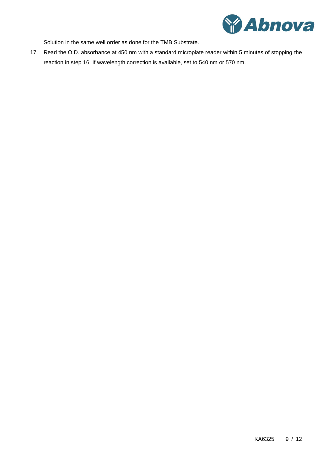

Solution in the same well order as done for the TMB Substrate.

17. Read the O.D. absorbance at 450 nm with a standard microplate reader within 5 minutes of stopping the reaction in step 16. If wavelength correction is available, set to 540 nm or 570 nm.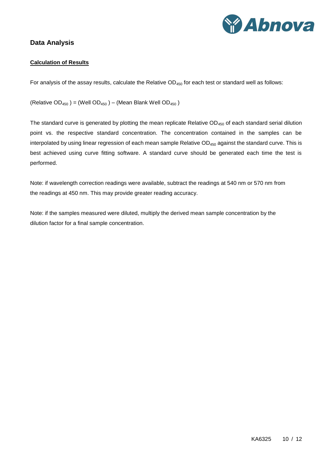

# <span id="page-9-1"></span><span id="page-9-0"></span>**Data Analysis**

### **Calculation of Results**

For analysis of the assay results, calculate the Relative  $OD_{450}$  for each test or standard well as follows:

(Relative OD<sub>450</sub>) = (Well OD<sub>450</sub>) – (Mean Blank Well OD<sub>450</sub>)

The standard curve is generated by plotting the mean replicate Relative OD<sub>450</sub> of each standard serial dilution point vs. the respective standard concentration. The concentration contained in the samples can be interpolated by using linear regression of each mean sample Relative OD<sub>450</sub> against the standard curve. This is best achieved using curve fitting software. A standard curve should be generated each time the test is performed.

Note: if wavelength correction readings were available, subtract the readings at 540 nm or 570 nm from the readings at 450 nm. This may provide greater reading accuracy.

Note: if the samples measured were diluted, multiply the derived mean sample concentration by the dilution factor for a final sample concentration.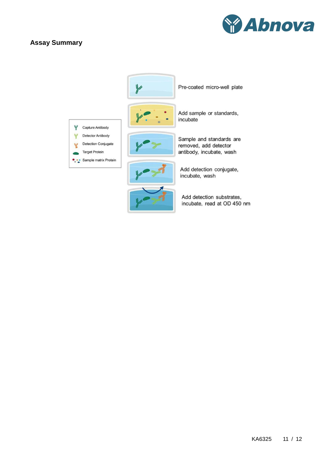# <span id="page-10-0"></span>**Assay Summary**



|                                                                                 | Pre-coated micro-well plate                                                   |
|---------------------------------------------------------------------------------|-------------------------------------------------------------------------------|
| Capture Antibody                                                                | Add sample or standards,<br>incubate                                          |
| <b>Detector Antibody</b><br><b>Detection Conjugate</b><br><b>Target Protein</b> | Sample and standards are<br>removed, add detector<br>antibody, incubate, wash |
| Sample matrix Protein                                                           | Add detection conjugate,<br>incubate, wash                                    |
|                                                                                 | Add detection substrates,<br>incubate, read at OD 450 nm                      |